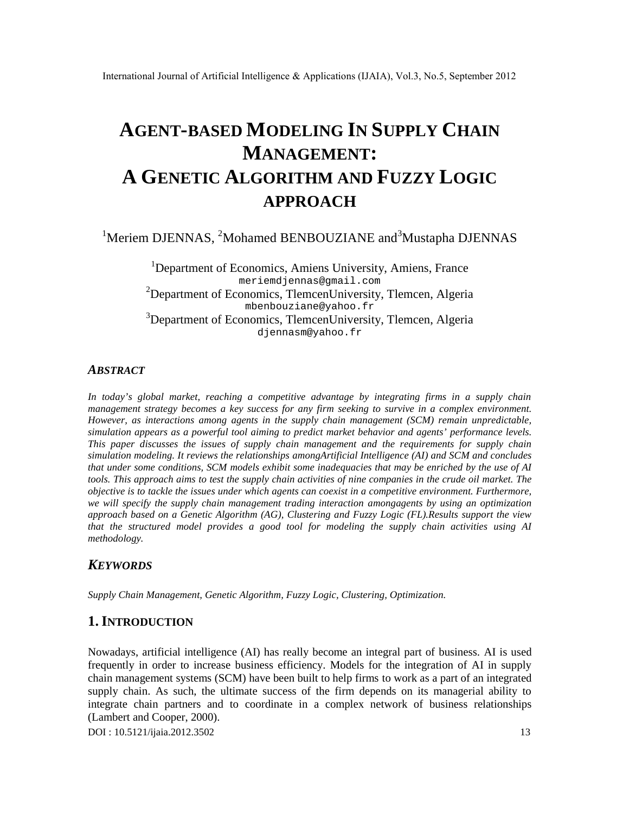International Journal of Artificial Intelligence & Applications (IJAIA), V

# AGENT-BASED MODELING IN SUPPLY CHAIN MANAGEMENT: A GENETIC ALGORITHM AND FUZZY LOGIC APPROACH

## <sup>1</sup>Meriem DJENNAS,<sup>2</sup>Mohamed BENBOUZIANE and Mustapha DJENNAS

<sup>1</sup>Department oEconomics Amiens University, Amiens, France [meriemdjennas@gmail.com](mailto:meriemdjennas@gmail.com) <sup>2</sup>Department oEconomics TlemcerUniversity, Tlemcen, Algeria [mbenbouziane@yahoo.fr](mailto:mbenbouziane@yahoo.fr) <sup>3</sup>Department oEconomics TlemcerUniversity, Tlemcen Algeria [djennasm@yahoo.fr](mailto:djennasm@yahoo.fr)

## **ABSTRACT**

In today€s global market, reaching a competitive advantage by integrating firms in a supply chain management strategy becomes a key success for any firm seeking to survive in a complex ent. However, as interactionsamongagents in the supply chain management (SCM) remain unpredictable, simulation appears as a powerful tool aimitogpredict market behavior and agent performance levels. This paper discusses the issues of supply chain management and the requirements for supply chain simulation modeling. It reviews the relationships ong Artificial Intelligence (AI) and SCM and concludes that under some conditions, SCMbdels exhibit some inadequacies that may be enriched by the use of AI tools. This approach aimts test the supply chain activities of nine companies in the crude oil market. The objective is to tackle the issues under which agents can coexist in a town performent. Furthermore, we will specify the supply chain management trading interaction aggents by using an optimization approach based on a Genetic Algorithm (AG), Clustering and Fuzzy Logic (FL).Results support the view that the structured model provides a good tool for modeling the supply chain activities using AI methodology.

## KEYWORDS

Supply Chain Management Genetic Algorithm, FuzzyLogic, Clustering, Optimization.

## 1.I NTRODUCTION

Nowadays, artificial intelligence (AI) has really become an integral part of businessused frequentlyin order to increase business efficiency. Models for the integration of AI in supply chain management systems (SCM) have been built to helptorms k as a part of an integrated supply chain. As such, the ultimate success of the firm depends on its managerial ability to integrate chain partners artd coordinatein a complex network of business relationships (Lambert and Cooper, 2000).

DOI : 10.5121/ijaia.2012.3502 13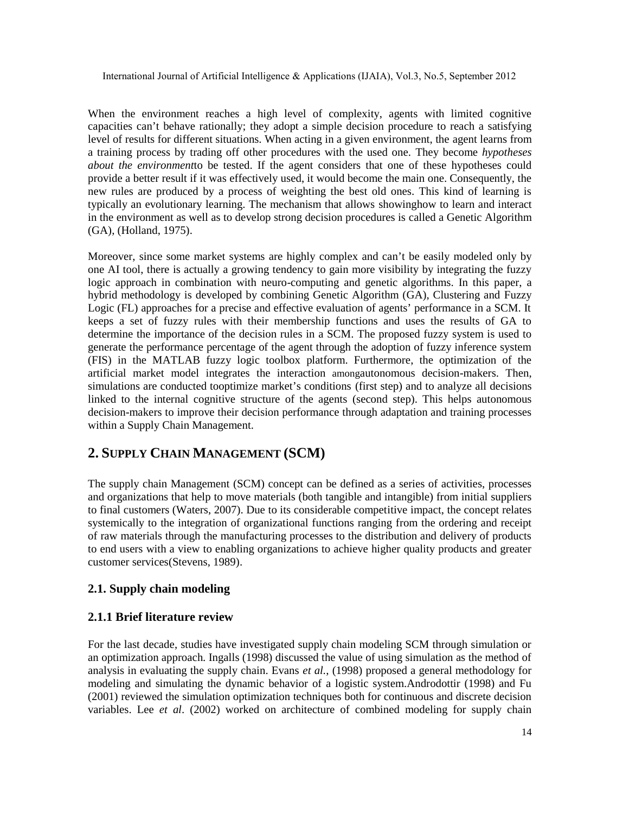When the environment reaches a high level of complexity, agents with limited cognitive capacities can't behave rationally; they adopt a simple decision procedure to reach a satisfying level of results for different situations. When acting in a given environment, the agent learns from a training process by trading off other procedures with the used one. They become *hypotheses about the environment*to be tested. If the agent considers that one of these hypotheses could provide a better result if it was effectively used, it would become the main one. Consequently, the new rules are produced by a process of weighting the best old ones. This kind of learning is typically an evolutionary learning. The mechanism that allows showinghow to learn and interact in the environment as well as to develop strong decision procedures is called a Genetic Algorithm (GA), (Holland, 1975).

Moreover, since some market systems are highly complex and can't be easily modeled only by one AI tool, there is actually a growing tendency to gain more visibility by integrating the fuzzy logic approach in combination with neuro-computing and genetic algorithms. In this paper, a hybrid methodology is developed by combining Genetic Algorithm (GA), Clustering and Fuzzy Logic (FL) approaches for a precise and effective evaluation of agents' performance in a SCM. It keeps a set of fuzzy rules with their membership functions and uses the results of GA to determine the importance of the decision rules in a SCM. The proposed fuzzy system is used to generate the performance percentage of the agent through the adoption of fuzzy inference system (FIS) in the MATLAB fuzzy logic toolbox platform. Furthermore, the optimization of the artificial market model integrates the interaction amongautonomous decision-makers. Then, simulations are conducted tooptimize market's conditions (first step) and to analyze all decisions linked to the internal cognitive structure of the agents (second step). This helps autonomous decision-makers to improve their decision performance through adaptation and training processes within a Supply Chain Management.

## **2. SUPPLY CHAIN MANAGEMENT (SCM)**

The supply chain Management (SCM) concept can be defined as a series of activities, processes and organizations that help to move materials (both tangible and intangible) from initial suppliers to final customers (Waters, 2007). Due to its considerable competitive impact, the concept relates systemically to the integration of organizational functions ranging from the ordering and receipt of raw materials through the manufacturing processes to the distribution and delivery of products to end users with a view to enabling organizations to achieve higher quality products and greater customer services(Stevens, 1989).

#### **2.1. Supply chain modeling**

#### **2.1.1 Brief literature review**

For the last decade, studies have investigated supply chain modeling SCM through simulation or an optimization approach. Ingalls (1998) discussed the value of using simulation as the method of analysis in evaluating the supply chain. Evans *et al.*, (1998) proposed a general methodology for modeling and simulating the dynamic behavior of a logistic system.Androdottir (1998) and Fu (2001) reviewed the simulation optimization techniques both for continuous and discrete decision variables. Lee *et al*. (2002) worked on architecture of combined modeling for supply chain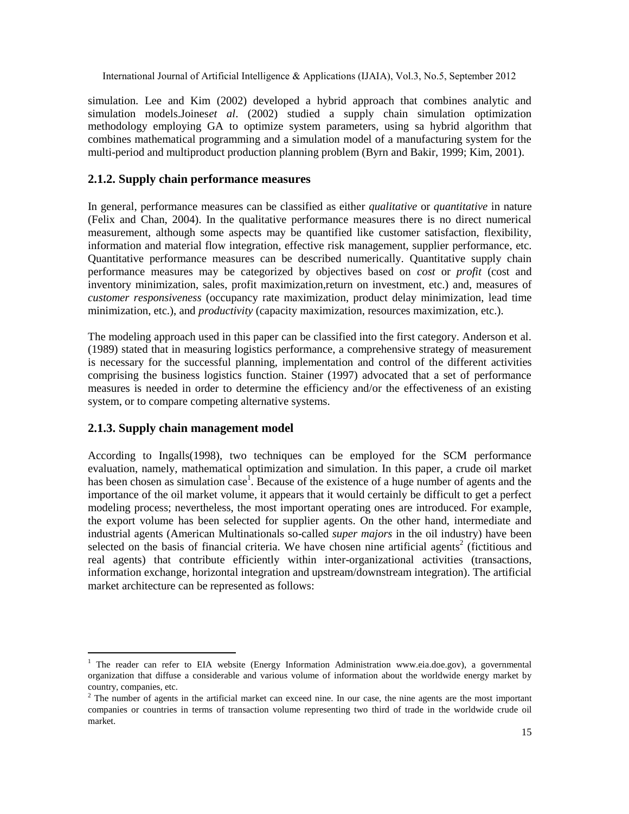International Journal of Artificial Intelligence & Applications (IJAIA), V

simulation. Lee and Kim (2002) developed a hybrid approach that combines analytic and simulation models.Joines al. (2002) studied a supply chain simulation optimization methodology employing GA toptimize system parameters, using hybrid algorithm that combines mathematical programming and a simulation model of a manufacturing system for the multi-period and multiproduct production planning problem (Byrn and Bakir, 1999; Kim, 2001).

#### 2.1.2. Suppy chain performance measures

In general, performance measures can be classified as **quiditative** or quantitative in nature (Felix and Chan, 2004). In the qualitative performance measures there is no direct numerical measurement, although some aspects may be quantified like customer satisfaction, flexibility, information and material flow integration, effective rislanagement, supplier performance, etc. Quantitative performance measures can be described numerically. Quantitative supply chain performance measures may be categorized by objectives based stoor profit (cost and inventory minimization, sales, profit raximizationreturn on investment, etc.) and, measures of customer responsivenessecupancy rate maximizatio product delay minimizationead time minimization, etc.), and roductivity (capacity maximization, resources maximization, etc.).

The modelingapproach used in this paper can be classified into the first category. Anderson et al. (1989) stated that in measuring logistics performance, a comprehensive strategy of measurement is necessary for the successful planning, implementation and control offiterent activities comprising the business logistics function. Stainer (1997) advocated that a set of performance measures is needed in order to determine the efficiency and/or the effectiveness of an existing system, or to compare competing alternative stems.

#### 2.1.3. Supply chain management model

According to Ingalls(1998), two techniques can be employed for the SCM performance evaluation, namely, mathematical optimization and simulationthis paper, acrude oil market has been chosen as simulaticase. Because of the existence of a huge number of agents and the importance of the oil market volume, it appears that it would certainly be difficult to get a perfect modeling process; nevertheless, the most important operating ones are introduced antiple, the export volume has been selected for supplier agents. On the other hand, intermediate and industrial agents (American Multinationals-salled super majorsin the oil industry) have been selected on the basis of financial criteria. We haveseh nine artificial agents fictitious and real agents) that contribute efficiently within interganizational activities (transactions, information exchange, horizontal integration and upstream/downstream integration). The artificial market architectur can be represented as follows:

<sup>&</sup>lt;sup>1</sup> The reader can refer to EIA website (Energy Information Administration wire use gov), a governmental organization that diffuse a considerable and various volume of information about the worldwide energy market by country, companies, etc.

 $2$  The number of agents in the artificial market can exceed nine. In our case, the nise a general mest important companies or countries in terms of transaction volume representing two third of trade in the worldwide crude oil market.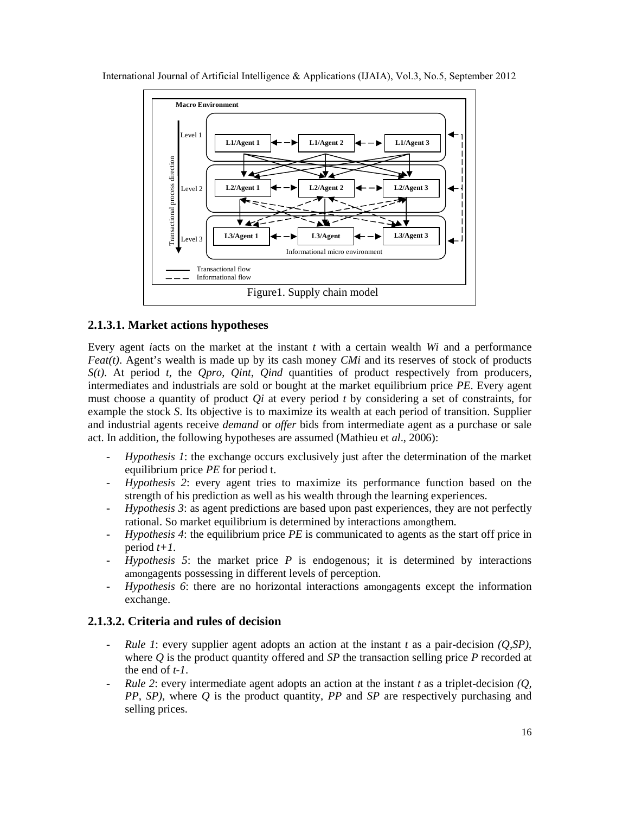



#### **2.1.3.1. Market actions hypotheses**

Every agent *i*acts on the market at the instant *t* with a certain wealth *Wi* and a performance *Feat(t)*. Agent's wealth is made up by its cash money *CMi* and its reserves of stock of products *S(t)*. At period *t*, the *Qpro*, *Qint*, *Qind* quantities of product respectively from producers, intermediates and industrials are sold or bought at the market equilibrium price *PE*. Every agent must choose a quantity of product *Qi* at every period *t* by considering a set of constraints, for example the stock *S*. Its objective is to maximize its wealth at each period of transition. Supplier and industrial agents receive *demand* or *offer* bids from intermediate agent as a purchase or sale act. In addition, the following hypotheses are assumed (Mathieu et *al*., 2006):

- *Hypothesis 1*: the exchange occurs exclusively just after the determination of the market equilibrium price *PE* for period t.
- *Hypothesis 2*: every agent tries to maximize its performance function based on the strength of his prediction as well as his wealth through the learning experiences.
- *Hypothesis 3*: as agent predictions are based upon past experiences, they are not perfectly rational. So market equilibrium is determined by interactions amongthem.
- *Hypothesis 4*: the equilibrium price *PE* is communicated to agents as the start off price in period *t+1*.
- *Hypothesis 5*: the market price *P* is endogenous; it is determined by interactions amongagents possessing in different levels of perception.
- *Hypothesis 6*: there are no horizontal interactions amongagents except the information exchange.

#### **2.1.3.2. Criteria and rules of decision**

- *Rule 1*: every supplier agent adopts an action at the instant *t* as a pair-decision *(Q,SP)*, where *Q* is the product quantity offered and *SP* the transaction selling price *P* recorded at the end of *t-1*.
- *Rule 2*: every intermediate agent adopts an action at the instant *t* as a triplet-decision *(Q, PP, SP)*, where *Q* is the product quantity, *PP* and *SP* are respectively purchasing and selling prices.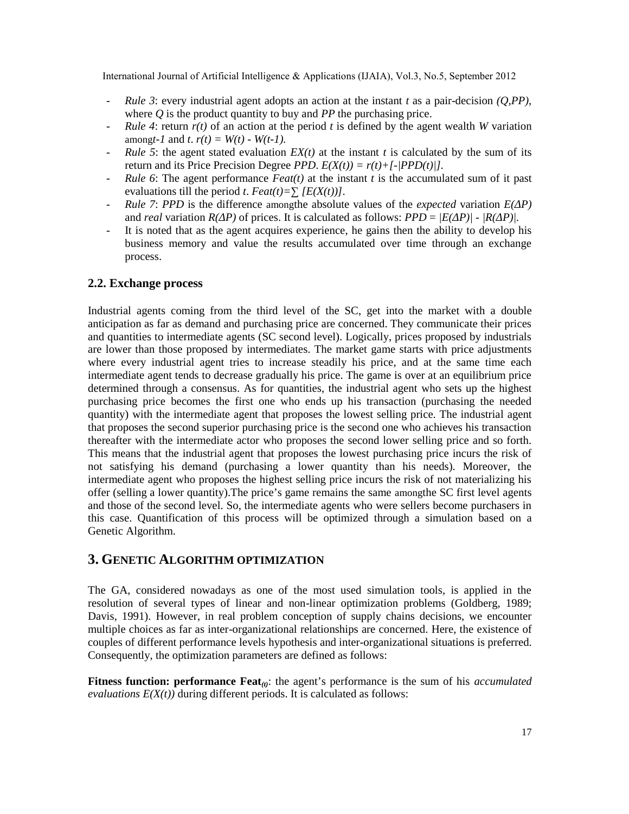- *Rule 3*: every industrial agent adopts an action at the instant *t* as a pair-decision *(Q,PP)*, where *Q* is the product quantity to buy and *PP* the purchasing price.
- *Rule 4*: return  $r(t)$  of an action at the period t is defined by the agent wealth *W* variation among*t*-1 and *t*.  $r(t) = W(t) - W(t-1)$ .
- *Rule 5*: the agent stated evaluation  $EX(t)$  at the instant t is calculated by the sum of its return and its Price Precision Degree *PPD*.  $E(X(t)) = r(t) + [-|PPD(t)|]$ .
- *Rule 6*: The agent performance  $Feat(t)$  at the instant *t* is the accumulated sum of it past evaluations till the period *t*.  $Feat(t) = \frac{E(X(t))}{\cdot}$ .
- *Rule 7: PPD* is the difference among the absolute values of the *expected* variation  $E(P)$ and *real* variation  $R(P)$  of prices. It is calculated as follows:  $PPD = |E(P)| - |R(P)|$ .
- It is noted that as the agent acquires experience, he gains then the ability to develop his business memory and value the results accumulated over time through an exchange process.

#### **2.2. Exchange process**

Industrial agents coming from the third level of the SC, get into the market with a double anticipation as far as demand and purchasing price are concerned. They communicate their prices and quantities to intermediate agents (SC second level). Logically, prices proposed by industrials are lower than those proposed by intermediates. The market game starts with price adjustments where every industrial agent tries to increase steadily his price, and at the same time each intermediate agent tends to decrease gradually his price. The game is over at an equilibrium price determined through a consensus. As for quantities, the industrial agent who sets up the highest purchasing price becomes the first one who ends up his transaction (purchasing the needed quantity) with the intermediate agent that proposes the lowest selling price. The industrial agent that proposes the second superior purchasing price is the second one who achieves his transaction thereafter with the intermediate actor who proposes the second lower selling price and so forth. This means that the industrial agent that proposes the lowest purchasing price incurs the risk of not satisfying his demand (purchasing a lower quantity than his needs). Moreover, the intermediate agent who proposes the highest selling price incurs the risk of not materializing his offer (selling a lower quantity).The price's game remains the same amongthe SC first level agents and those of the second level. So, the intermediate agents who were sellers become purchasers in this case. Quantification of this process will be optimized through a simulation based on a Genetic Algorithm.

#### **3. GENETIC ALGORITHM OPTIMIZATION**

The GA, considered nowadays as one of the most used simulation tools, is applied in the resolution of several types of linear and non-linear optimization problems (Goldberg, 1989; Davis, 1991). However, in real problem conception of supply chains decisions, we encounter multiple choices as far as inter-organizational relationships are concerned. Here, the existence of couples of different performance levels hypothesis and inter-organizational situations is preferred. Consequently, the optimization parameters are defined as follows:

**Fitness function: performance Feat**<sub>(t)</sub>: the agent's performance is the sum of his *accumulated evaluations*  $E(X(t))$  during different periods. It is calculated as follows: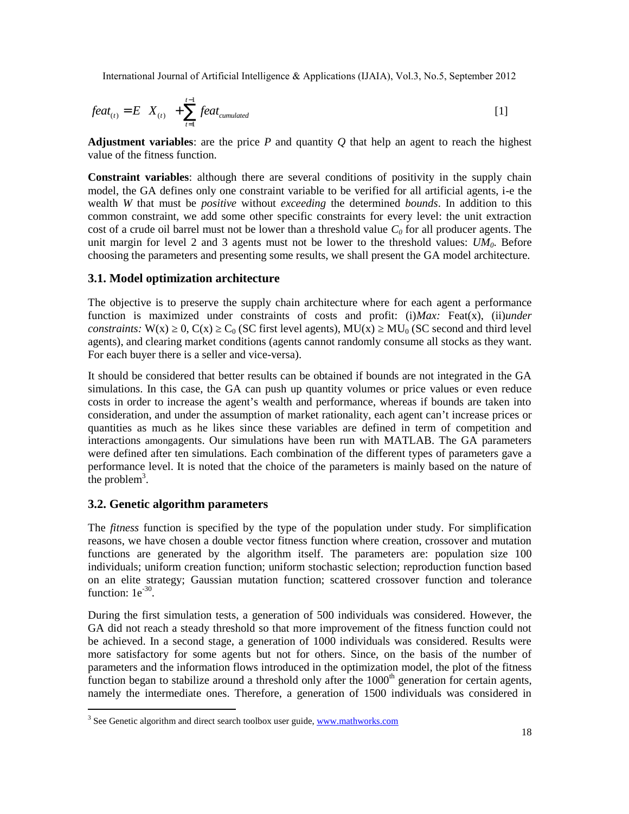$$
feat_{(t)} = E[X_{(t)}] + \sum_{t=1}^{t-1} feat_{cumulated}
$$
\n[1]

**Adjustment variables:** are the price  $P$  and quantity  $Q$  that help an agent to reach the highest value of the fitness function.

**Constraint variables**: although there are several conditions of positivity in the supply chain model, the GA defines only one constraint variable to be verified for all artificial agents, i-e the wealth *W* that must be *positive* without *exceeding* the determined *bounds*. In addition to this common constraint, we add some other specific constraints for every level: the unit extraction cost of a crude oil barrel must not be lower than a threshold value *C<sup>0</sup>* for all producer agents. The unit margin for level 2 and 3 agents must not be lower to the threshold values:  $UM_0$ . Before choosing the parameters and presenting some results, we shall present the GA model architecture.

#### **3.1. Model optimization architecture**

The objective is to preserve the supply chain architecture where for each agent a performance function is maximized under constraints of costs and profit: (i)*Max:* Feat(x), (ii)*under constraints:* W(x)  $0, C(x)$   $C_0$  (SC first level agents), MU(x) MU<sub>0</sub> (SC second and third level agents), and clearing market conditions (agents cannot randomly consume all stocks as they want. For each buyer there is a seller and vice-versa).

It should be considered that better results can be obtained if bounds are not integrated in the GA simulations. In this case, the GA can push up quantity volumes or price values or even reduce costs in order to increase the agent's wealth and performance, whereas if bounds are taken into consideration, and under the assumption of market rationality, each agent can't increase prices or quantities as much as he likes since these variables are defined in term of competition and interactions amongagents. Our simulations have been run with MATLAB. The GA parameters were defined after ten simulations. Each combination of the different types of parameters gave a performance level. It is noted that the choice of the parameters is mainly based on the nature of the problem<sup>3</sup>.

#### **3.2. Genetic algorithm parameters**

The *fitness* function is specified by the type of the population under study. For simplification reasons, we have chosen a double vector fitness function where creation, crossover and mutation functions are generated by the algorithm itself. The parameters are: population size 100 individuals; uniform creation function; uniform stochastic selection; reproduction function based on an elite strategy; Gaussian mutation function; scattered crossover function and tolerance function:  $1e^{-30}$ .

During the first simulation tests, a generation of 500 individuals was considered. However, the GA did not reach a steady threshold so that more improvement of the fitness function could not be achieved. In a second stage, a generation of 1000 individuals was considered. Results were more satisfactory for some agents but not for others. Since, on the basis of the number of parameters and the information flows introduced in the optimization model, the plot of the fitness function began to stabilize around a threshold only after the  $1000<sup>th</sup>$  generation for certain agents, namely the intermediate ones. Therefore, a generation of 1500 individuals was considered in

<sup>&</sup>lt;sup>3</sup> See Genetic algorithm and direct search toolbox user guide, www.mathworks.com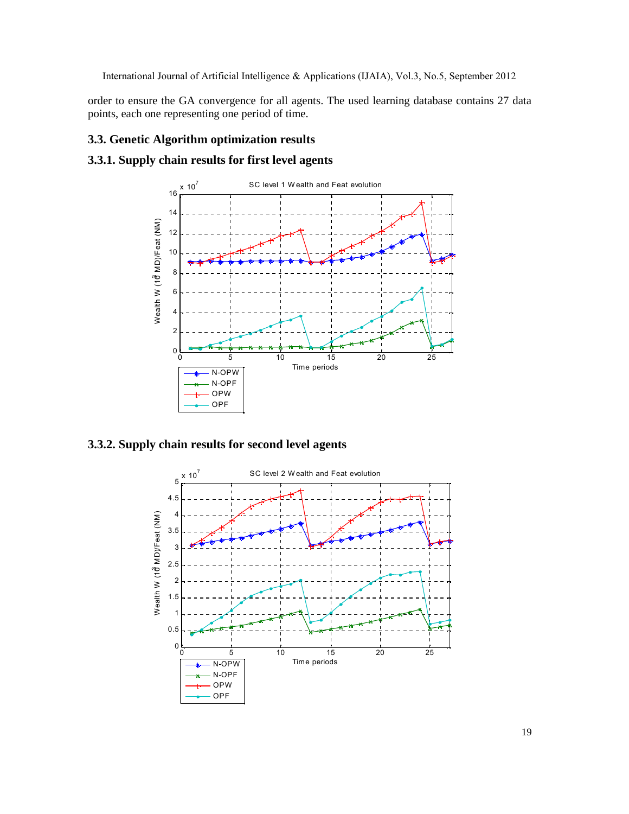```
International Journal of Artificial Intelligence & Applications (IJAIA), V
```
order to ensure the GA convergence for all agents. The used learning database contains 27 data points, each one representing one met time.

- 3.3. Genetic Algorithm optimization results
- 3.3.1. Supply chain results for first level agents



3.3.2. Supply chain results for second level agents

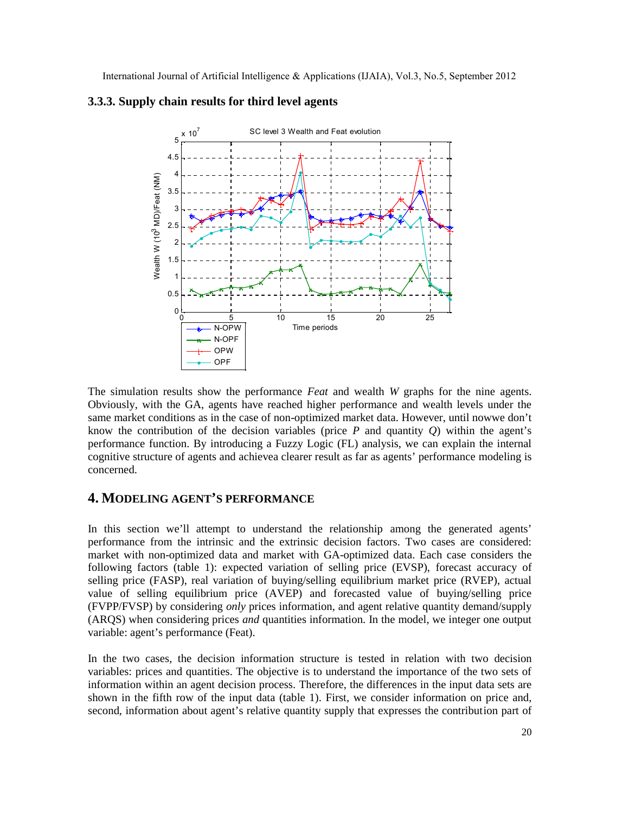

#### **3.3.3. Supply chain results for third level agents**

The simulation results show the performance *Feat* and wealth *W* graphs for the nine agents. Obviously, with the GA, agents have reached higher performance and wealth levels under the same market conditions as in the case of non-optimized market data. However, until nowwe don't know the contribution of the decision variables (price  $P$  and quantity  $Q$ ) within the agent's performance function. By introducing a Fuzzy Logic (FL) analysis, we can explain the internal cognitive structure of agents and achievea clearer result as far as agents' performance modeling is concerned.

## **4. MODELING AGENT'S PERFORMANCE**

In this section we'll attempt to understand the relationship among the generated agents' performance from the intrinsic and the extrinsic decision factors. Two cases are considered: market with non-optimized data and market with GA-optimized data. Each case considers the following factors (table 1): expected variation of selling price (EVSP), forecast accuracy of selling price (FASP), real variation of buying/selling equilibrium market price (RVEP), actual value of selling equilibrium price (AVEP) and forecasted value of buying/selling price (FVPP/FVSP) by considering *only* prices information, and agent relative quantity demand/supply (ARQS) when considering prices *and* quantities information. In the model, we integer one output variable: agent's performance (Feat).

In the two cases, the decision information structure is tested in relation with two decision variables: prices and quantities. The objective is to understand the importance of the two sets of information within an agent decision process. Therefore, the differences in the input data sets are shown in the fifth row of the input data (table 1). First, we consider information on price and, second, information about agent's relative quantity supply that expresses the contribution part of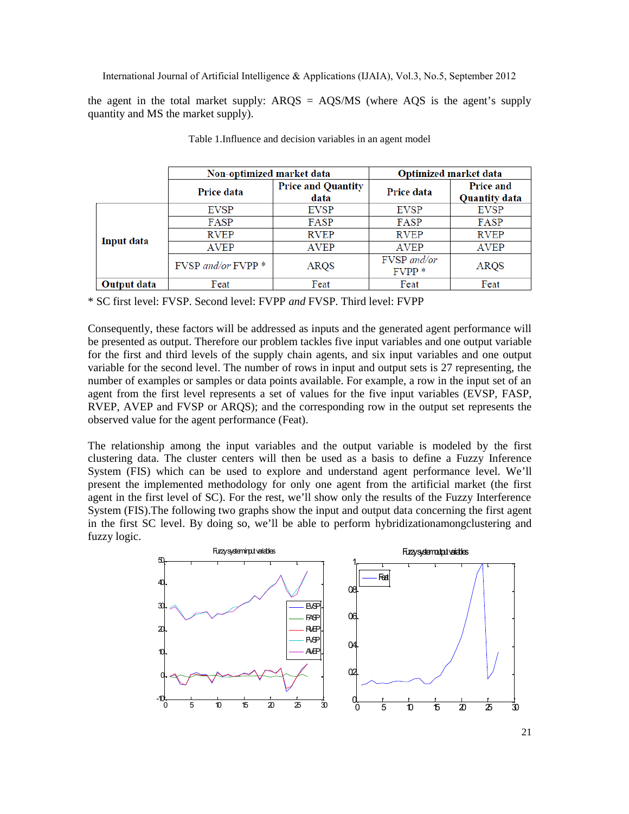the agent in the total market supply:  $ARQS = AQS/MS$  (where  $AQS$  is the agent's supply quantity and MS the market supply).

|             | Non-optimized market data |                                   | Optimized market data  |                                          |  |
|-------------|---------------------------|-----------------------------------|------------------------|------------------------------------------|--|
|             | Price data                | <b>Price and Quantity</b><br>data | Price data             | <b>Price and</b><br><b>Quantity data</b> |  |
| Input data  | <b>EVSP</b>               | <b>EVSP</b>                       | <b>EVSP</b>            | <b>EVSP</b>                              |  |
|             | FASP                      | FASP                              | FASP                   | FASP                                     |  |
|             | <b>RVEP</b>               | <b>RVEP</b>                       | <b>RVEP</b>            | <b>RVEP</b>                              |  |
|             | <b>AVEP</b>               | <b>AVEP</b>                       | <b>AVEP</b>            | <b>AVEP</b>                              |  |
|             | $FVSP$ and/or $FVPP$ *    | ARQS                              | FVSP and/or<br>$FVPP*$ | ARQS                                     |  |
| Output data | Feat                      | Feat                              | Feat                   | Feat                                     |  |

Table 1.Influence and decision variables in an agent model

\* SC first level: FVSP. Second level: FVPP *and* FVSP. Third level: FVPP

Consequently, these factors will be addressed as inputs and the generated agent performance will be presented as output. Therefore our problem tackles five input variables and one output variable for the first and third levels of the supply chain agents, and six input variables and one output variable for the second level. The number of rows in input and output sets is 27 representing, the number of examples or samples or data points available. For example, a row in the input set of an agent from the first level represents a set of values for the five input variables (EVSP, FASP, RVEP, AVEP and FVSP or ARQS); and the corresponding row in the output set represents the observed value for the agent performance (Feat).

The relationship among the input variables and the output variable is modeled by the first clustering data. The cluster centers will then be used as a basis to define a Fuzzy Inference System (FIS) which can be used to explore and understand agent performance level. We'll present the implemented methodology for only one agent from the artificial market (the first agent in the first level of SC). For the rest, we'll show only the results of the Fuzzy Interference System (FIS).The following two graphs show the input and output data concerning the first agent in the first SC level. By doing so, we'll be able to perform hybridizationamongclustering and fuzzy logic.

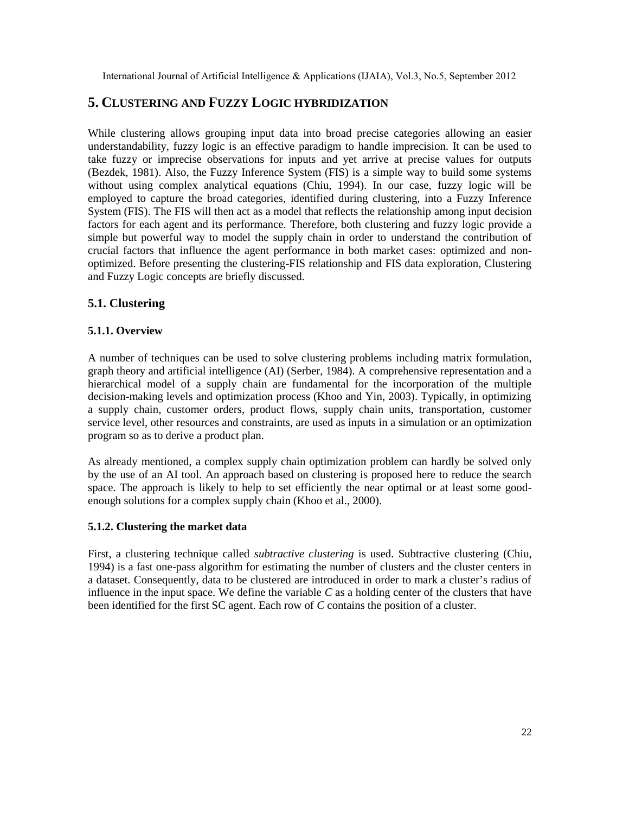## **5. CLUSTERING AND FUZZY LOGIC HYBRIDIZATION**

While clustering allows grouping input data into broad precise categories allowing an easier understandability, fuzzy logic is an effective paradigm to handle imprecision. It can be used to take fuzzy or imprecise observations for inputs and yet arrive at precise values for outputs (Bezdek, 1981). Also, the Fuzzy Inference System (FIS) is a simple way to build some systems without using complex analytical equations (Chiu, 1994). In our case, fuzzy logic will be employed to capture the broad categories, identified during clustering, into a Fuzzy Inference System (FIS). The FIS will then act as a model that reflects the relationship among input decision factors for each agent and its performance. Therefore, both clustering and fuzzy logic provide a simple but powerful way to model the supply chain in order to understand the contribution of crucial factors that influence the agent performance in both market cases: optimized and nonoptimized. Before presenting the clustering-FIS relationship and FIS data exploration, Clustering and Fuzzy Logic concepts are briefly discussed.

## **5.1. Clustering**

#### **5.1.1. Overview**

A number of techniques can be used to solve clustering problems including matrix formulation, graph theory and artificial intelligence (AI) (Serber, 1984). A comprehensive representation and a hierarchical model of a supply chain are fundamental for the incorporation of the multiple decision-making levels and optimization process (Khoo and Yin, 2003). Typically, in optimizing a supply chain, customer orders, product flows, supply chain units, transportation, customer service level, other resources and constraints, are used as inputs in a simulation or an optimization program so as to derive a product plan.

As already mentioned, a complex supply chain optimization problem can hardly be solved only by the use of an AI tool. An approach based on clustering is proposed here to reduce the search space. The approach is likely to help to set efficiently the near optimal or at least some goodenough solutions for a complex supply chain (Khoo et al., 2000).

#### **5.1.2. Clustering the market data**

First, a clustering technique called *subtractive clustering* is used. Subtractive clustering (Chiu, 1994) is a fast one-pass algorithm for estimating the number of clusters and the cluster centers in a dataset. Consequently, data to be clustered are introduced in order to mark a cluster's radius of influence in the input space. We define the variable *C* as a holding center of the clusters that have been identified for the first SC agent. Each row of *C* contains the position of a cluster.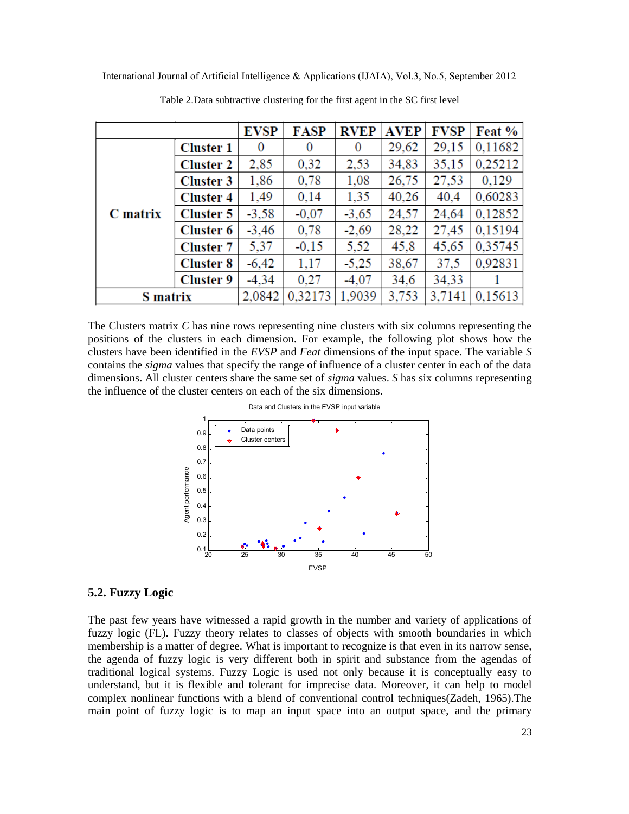|                 |                  | <b>EVSP</b> | FASP    | <b>RVEP</b>    | <b>AVEP</b> | <b>FVSP</b> | Feat %  |
|-----------------|------------------|-------------|---------|----------------|-------------|-------------|---------|
| C matrix        | <b>Cluster 1</b> | 0           | 0       | $\overline{0}$ | 29,62       | 29,15       | 0,11682 |
|                 | <b>Cluster 2</b> | 2,85        | 0,32    | 2,53           | 34,83       | 35,15       | 0,25212 |
|                 | <b>Cluster 3</b> | 1,86        | 0,78    | 1,08           | 26,75       | 27,53       | 0,129   |
|                 | <b>Cluster 4</b> | 1,49        | 0,14    | 1,35           | 40,26       | 40,4        | 0,60283 |
|                 | <b>Cluster 5</b> | $-3,58$     | $-0.07$ | $-3,65$        | 24,57       | 24,64       | 0,12852 |
|                 | <b>Cluster 6</b> | $-3,46$     | 0,78    | $-2,69$        | 28,22       | 27,45       | 0,15194 |
|                 | <b>Cluster 7</b> | 5,37        | $-0.15$ | 5,52           | 45,8        | 45,65       | 0,35745 |
|                 | <b>Cluster 8</b> | $-6,42$     | 1.17    | $-5,25$        | 38,67       | 37,5        | 0,92831 |
|                 | <b>Cluster 9</b> | $-4,34$     | 0,27    | $-4,07$        | 34,6        | 34,33       |         |
| <b>S</b> matrix |                  | 2,0842      | 0.32173 | 1.9039         | 3,753       | 3,7141      | 0.15613 |

Table 2.Data subtractive clustering for the first agent in the SC first level

The Clusters matrix *C* has nine rows representing nine clusters with six columns representing the positions of the clusters in each dimension. For example, the following plot shows how the clusters have been identified in the *EVSP* and *Feat* dimensions of the input space. The variable *S* contains the *sigma* values that specify the range of influence of a cluster center in each of the data dimensions. All cluster centers share the same set of *sigma* values. *S* has six columns representing the influence of the cluster centers on each of the six dimensions.



Data and Clusters in the EVSP input variable

#### **5.2. Fuzzy Logic**

The past few years have witnessed a rapid growth in the number and variety of applications of fuzzy logic (FL). Fuzzy theory relates to classes of objects with smooth boundaries in which membership is a matter of degree. What is important to recognize is that even in its narrow sense, the agenda of fuzzy logic is very different both in spirit and substance from the agendas of traditional logical systems. Fuzzy Logic is used not only because it is conceptually easy to understand, but it is flexible and tolerant for imprecise data. Moreover, it can help to model complex nonlinear functions with a blend of conventional control techniques(Zadeh, 1965).The main point of fuzzy logic is to map an input space into an output space, and the primary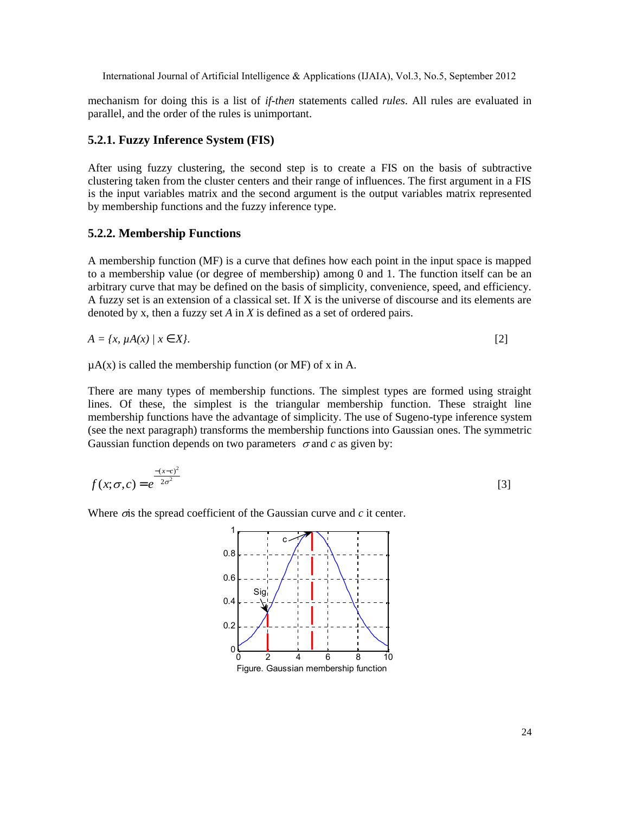mechanism for doing this is a list of *if-then* statements called *rules*. All rules are evaluated in parallel, and the order of the rules is unimportant.

#### **5.2.1. Fuzzy Inference System (FIS)**

After using fuzzy clustering, the second step is to create a FIS on the basis of subtractive clustering taken from the cluster centers and their range of influences. The first argument in a FIS is the input variables matrix and the second argument is the output variables matrix represented by membership functions and the fuzzy inference type.

#### **5.2.2. Membership Functions**

A membership function (MF) is a curve that defines how each point in the input space is mapped to a membership value (or degree of membership) among 0 and 1. The function itself can be an arbitrary curve that may be defined on the basis of simplicity, convenience, speed, and efficiency. A fuzzy set is an extension of a classical set. If X is the universe of discourse and its elements are denoted by x, then a fuzzy set *A* in *X* is defined as a set of ordered pairs.

$$
A = \{x, \mu A(x) \mid x \quad X\}. \tag{2}
$$

 $\mu$ A(x) is called the membership function (or MF) of x in A.

There are many types of membership functions. The simplest types are formed using straight lines. Of these, the simplest is the triangular membership function. These straight line membership functions have the advantage of simplicity. The use of Sugeno-type inference system (see the next paragraph) transforms the membership functions into Gaussian ones. The symmetric Gaussian function depends on two parameters  $\sigma$  and *c* as given by:

$$
f(x; \sigma, c) = e^{-\frac{-(x-c)^2}{2\sigma^2}}
$$
 [3]

Where  $\sigma$  is the spread coefficient of the Gaussian curve and  $c$  it center.

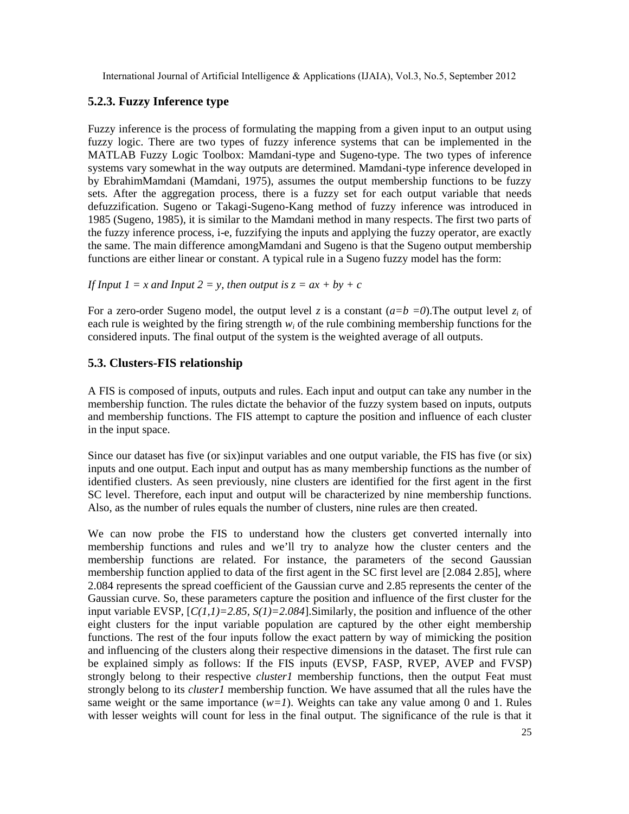## **5.2.3. Fuzzy Inference type**

Fuzzy inference is the process of formulating the mapping from a given input to an output using fuzzy logic. There are two types of fuzzy inference systems that can be implemented in the MATLAB Fuzzy Logic Toolbox: Mamdani-type and Sugeno-type. The two types of inference systems vary somewhat in the way outputs are determined. Mamdani-type inference developed in by EbrahimMamdani (Mamdani, 1975), assumes the output membership functions to be fuzzy sets. After the aggregation process, there is a fuzzy set for each output variable that needs defuzzification. Sugeno or Takagi-Sugeno-Kang method of fuzzy inference was introduced in 1985 (Sugeno, 1985), it is similar to the Mamdani method in many respects. The first two parts of the fuzzy inference process, i-e, fuzzifying the inputs and applying the fuzzy operator, are exactly the same. The main difference amongMamdani and Sugeno is that the Sugeno output membership functions are either linear or constant. A typical rule in a Sugeno fuzzy model has the form:

*If Input 1* = *x and Input 2* = *y*, *then output is*  $z = ax + by + c$ 

For a zero-order Sugeno model, the output level *z* is a constant  $(a=b=0)$ . The output level  $z_i$  of each rule is weighted by the firing strength *w<sup>i</sup>* of the rule combining membership functions for the considered inputs. The final output of the system is the weighted average of all outputs.

#### **5.3. Clusters-FIS relationship**

A FIS is composed of inputs, outputs and rules. Each input and output can take any number in the membership function. The rules dictate the behavior of the fuzzy system based on inputs, outputs and membership functions. The FIS attempt to capture the position and influence of each cluster in the input space.

Since our dataset has five (or six)input variables and one output variable, the FIS has five (or six) inputs and one output. Each input and output has as many membership functions as the number of identified clusters. As seen previously, nine clusters are identified for the first agent in the first SC level. Therefore, each input and output will be characterized by nine membership functions. Also, as the number of rules equals the number of clusters, nine rules are then created.

We can now probe the FIS to understand how the clusters get converted internally into membership functions and rules and we'll try to analyze how the cluster centers and the membership functions are related. For instance, the parameters of the second Gaussian membership function applied to data of the first agent in the SC first level are [2.084 2.85], where 2.084 represents the spread coefficient of the Gaussian curve and 2.85 represents the center of the Gaussian curve. So, these parameters capture the position and influence of the first cluster for the input variable EVSP, [*C(1,1)=2.85, S(1)=2.084*].Similarly, the position and influence of the other eight clusters for the input variable population are captured by the other eight membership functions. The rest of the four inputs follow the exact pattern by way of mimicking the position and influencing of the clusters along their respective dimensions in the dataset. The first rule can be explained simply as follows: If the FIS inputs (EVSP, FASP, RVEP, AVEP and FVSP) strongly belong to their respective *cluster1* membership functions, then the output Feat must strongly belong to its *cluster1* membership function. We have assumed that all the rules have the same weight or the same importance  $(w=1)$ . Weights can take any value among 0 and 1. Rules with lesser weights will count for less in the final output. The significance of the rule is that it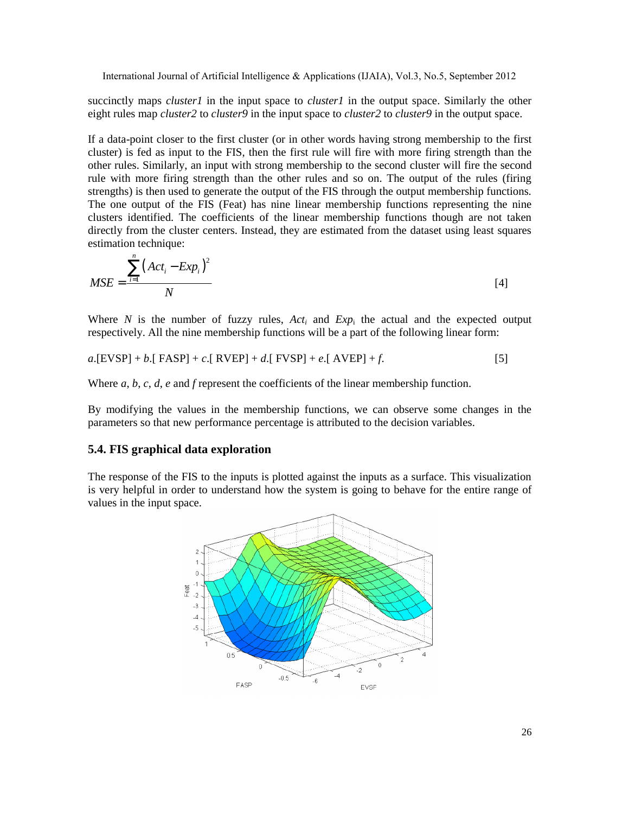succinctly maps *cluster1* in the input space to *cluster1* in the output space. Similarly the other eight rules map *cluster2* to *cluster9* in the input space to *cluster2* to *cluster9* in the output space.

If a data-point closer to the first cluster (or in other words having strong membership to the first cluster) is fed as input to the FIS, then the first rule will fire with more firing strength than the other rules. Similarly, an input with strong membership to the second cluster will fire the second rule with more firing strength than the other rules and so on. The output of the rules (firing strengths) is then used to generate the output of the FIS through the output membership functions. The one output of the FIS (Feat) has nine linear membership functions representing the nine clusters identified. The coefficients of the linear membership functions though are not taken directly from the cluster centers. Instead, they are estimated from the dataset using least squares estimation technique:

$$
MSE = \frac{\sum_{i=1}^{n} (Act_i - Exp_i)^2}{N}
$$
 [4]

Where *N* is the number of fuzzy rules,  $Act_i$  and  $Exp_i$  the actual and the expected output respectively. All the nine membership functions will be a part of the following linear form:

$$
a.[EVSP] + b.[FASP] + c.[RVEP] + d.[FVSP] + e.[AVEP] + f.
$$
\n
$$
[5]
$$

Where *a*, *b*, *c*, *d*, *e* and *f* represent the coefficients of the linear membership function.

By modifying the values in the membership functions, we can observe some changes in the parameters so that new performance percentage is attributed to the decision variables.

#### **5.4. FIS graphical data exploration**

The response of the FIS to the inputs is plotted against the inputs as a surface. This visualization is very helpful in order to understand how the system is going to behave for the entire range of values in the input space.

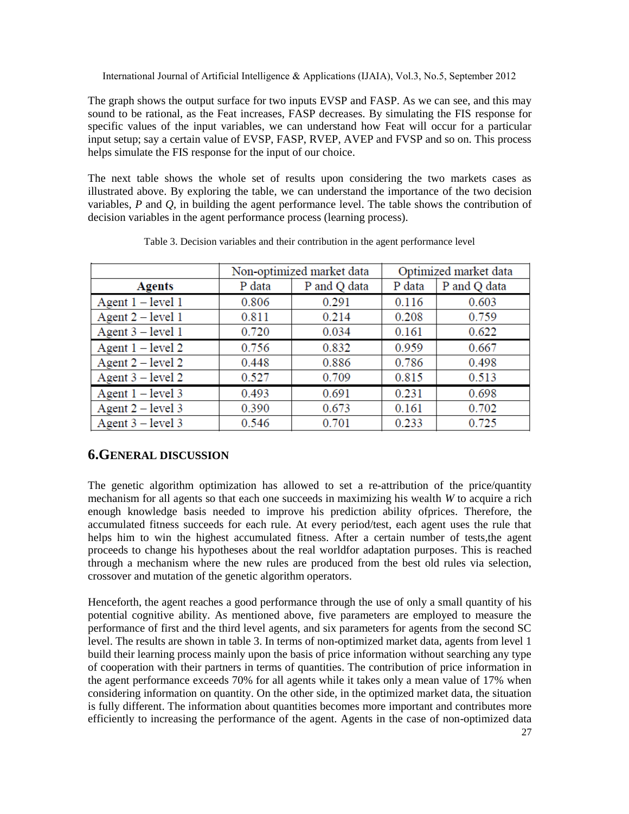The graph shows the output surface for two inputs EVSP and FASP. As we can see, and this may sound to be rational, as the Feat increases, FASP decreases. By simulating the FIS response for specific values of the input variables, we can understand how Feat will occur for a particular input setup; say a certain value of EVSP, FASP, RVEP, AVEP and FVSP and so on. This process helps simulate the FIS response for the input of our choice.

The next table shows the whole set of results upon considering the two markets cases as illustrated above. By exploring the table, we can understand the importance of the two decision variables, *P* and *Q*, in building the agent performance level. The table shows the contribution of decision variables in the agent performance process (learning process).

|                     | Non-optimized market data |              | Optimized market data |              |
|---------------------|---------------------------|--------------|-----------------------|--------------|
| <b>Agents</b>       | P data                    | P and Q data | P data                | P and Q data |
| Agent $1 - level 1$ | 0.806                     | 0.291        | 0.116                 | 0.603        |
| Agent $2$ – level 1 | 0.811                     | 0.214        | 0.208                 | 0.759        |
| Agent $3$ – level 1 | 0.720                     | 0.034        | 0.161                 | 0.622        |
| Agent $1 - level 2$ | 0.756                     | 0.832        | 0.959                 | 0.667        |
| Agent $2$ – level 2 | 0.448                     | 0.886        | 0.786                 | 0.498        |
| Agent $3$ – level 2 | 0.527                     | 0.709        | 0.815                 | 0.513        |
| Agent $1 - level 3$ | 0.493                     | 0.691        | 0.231                 | 0.698        |
| Agent $2$ – level 3 | 0.390                     | 0.673        | 0.161                 | 0.702        |
| Agent $3$ – level 3 | 0.546                     | 0.701        | 0.233                 | 0.725        |

Table 3. Decision variables and their contribution in the agent performance level

## **6.GENERAL DISCUSSION**

The genetic algorithm optimization has allowed to set a re-attribution of the price/quantity mechanism for all agents so that each one succeeds in maximizing his wealth *W* to acquire a rich enough knowledge basis needed to improve his prediction ability ofprices. Therefore, the accumulated fitness succeeds for each rule. At every period/test, each agent uses the rule that helps him to win the highest accumulated fitness. After a certain number of tests,the agent proceeds to change his hypotheses about the real worldfor adaptation purposes. This is reached through a mechanism where the new rules are produced from the best old rules via selection, crossover and mutation of the genetic algorithm operators.

Henceforth, the agent reaches a good performance through the use of only a small quantity of his potential cognitive ability. As mentioned above, five parameters are employed to measure the performance of first and the third level agents, and six parameters for agents from the second SC level. The results are shown in table 3. In terms of non-optimized market data, agents from level 1 build their learning process mainly upon the basis of price information without searching any type of cooperation with their partners in terms of quantities. The contribution of price information in the agent performance exceeds 70% for all agents while it takes only a mean value of 17% when considering information on quantity. On the other side, in the optimized market data, the situation is fully different. The information about quantities becomes more important and contributes more efficiently to increasing the performance of the agent. Agents in the case of non-optimized data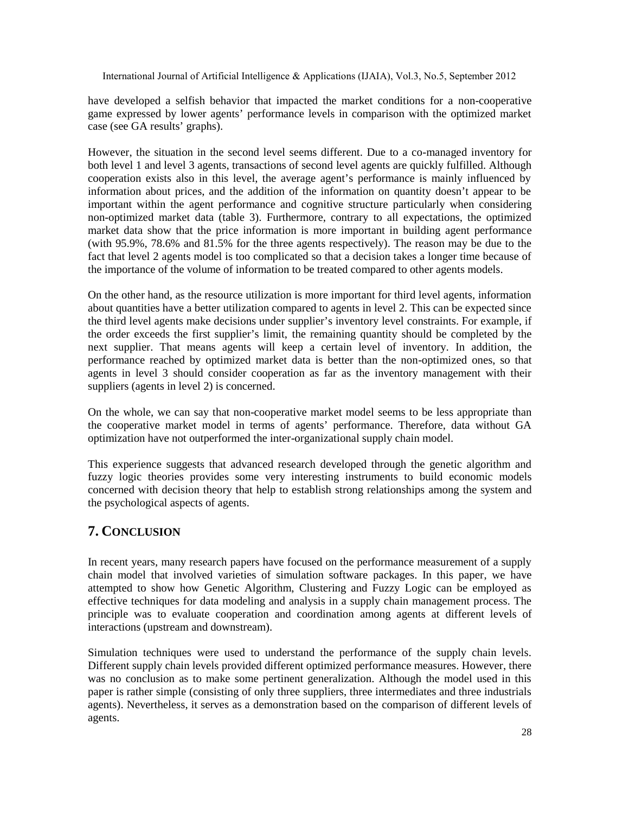have developed a selfish behavior that impacted the market conditions for a non-cooperative game expressed by lower agents' performance levels in comparison with the optimized market case (see GA results' graphs).

However, the situation in the second level seems different. Due to a co-managed inventory for both level 1 and level 3 agents, transactions of second level agents are quickly fulfilled. Although cooperation exists also in this level, the average agent's performance is mainly influenced by information about prices, and the addition of the information on quantity doesn't appear to be important within the agent performance and cognitive structure particularly when considering non-optimized market data (table 3). Furthermore, contrary to all expectations, the optimized market data show that the price information is more important in building agent performance (with 95.9%, 78.6% and 81.5% for the three agents respectively). The reason may be due to the fact that level 2 agents model is too complicated so that a decision takes a longer time because of the importance of the volume of information to be treated compared to other agents models.

On the other hand, as the resource utilization is more important for third level agents, information about quantities have a better utilization compared to agents in level 2. This can be expected since the third level agents make decisions under supplier's inventory level constraints. For example, if the order exceeds the first supplier's limit, the remaining quantity should be completed by the next supplier. That means agents will keep a certain level of inventory. In addition, the performance reached by optimized market data is better than the non-optimized ones, so that agents in level 3 should consider cooperation as far as the inventory management with their suppliers (agents in level 2) is concerned.

On the whole, we can say that non-cooperative market model seems to be less appropriate than the cooperative market model in terms of agents' performance. Therefore, data without GA optimization have not outperformed the inter-organizational supply chain model.

This experience suggests that advanced research developed through the genetic algorithm and fuzzy logic theories provides some very interesting instruments to build economic models concerned with decision theory that help to establish strong relationships among the system and the psychological aspects of agents.

## **7. CONCLUSION**

In recent years, many research papers have focused on the performance measurement of a supply chain model that involved varieties of simulation software packages. In this paper, we have attempted to show how Genetic Algorithm, Clustering and Fuzzy Logic can be employed as effective techniques for data modeling and analysis in a supply chain management process. The principle was to evaluate cooperation and coordination among agents at different levels of interactions (upstream and downstream).

Simulation techniques were used to understand the performance of the supply chain levels. Different supply chain levels provided different optimized performance measures. However, there was no conclusion as to make some pertinent generalization. Although the model used in this paper is rather simple (consisting of only three suppliers, three intermediates and three industrials agents). Nevertheless, it serves as a demonstration based on the comparison of different levels of agents.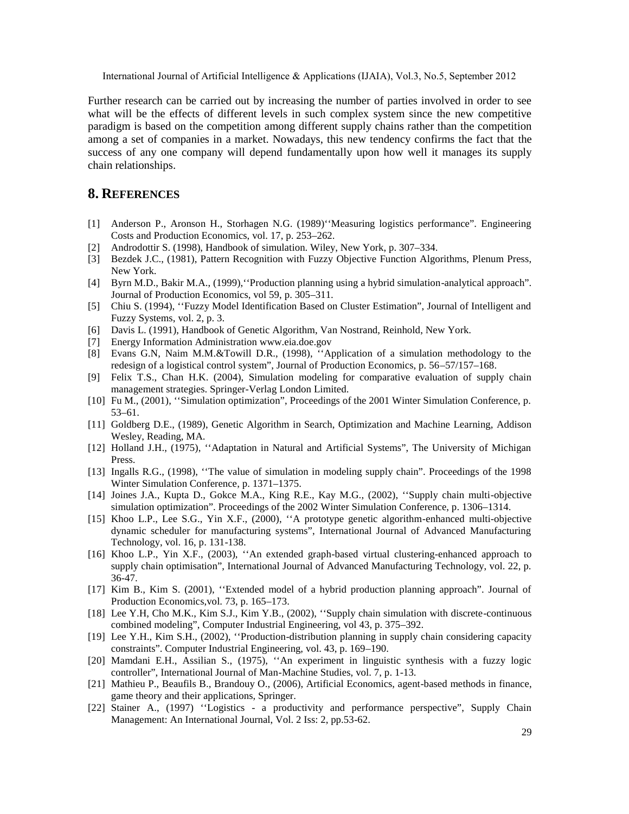International Journal of Artificial Intelligence & Applications (IJAIA), V

Further research can be carried out by increasing the number of parties involved in order to see what will be the effects of different levels in such complex system since the new competitive paradigm isbased on the competition mongdifferent supply chains rather than the competition amonga set of companies in a market. Nowadays, this new tendency confirms the falce that success of any one company will depend damentallyupon how well it manages sit supply chain relationships.

### 8.REFERENCES

- [1] Anderson P., Aronson H., Storhagen N.G. (1989),,Measuring logistics performancef. Engineering Costs and Production Economics, vol. 17, p., 252.
- [2] Androdottir S. (1998), Handbook of simulation. Wiley, Wark, p. 307334.
- [3] Bezdek J.C., (1981), Pattern Recognition with Fuzzy Objective Function Algorithms, Plenum Press, New York.
- [4] Byrn M.D., Bakir M.A., (1999),,,Production planning using a hybrid simulationalytical approach  $f$ . Journal ofProduction Economics, vol 59, p. 306511.
- [5] Chiu S. (1994), "Fuzzy Model Identification Based on Cluster Estimationf, Journal of Intelligent and Fuzzy Systems, vol. 2, p. 3.
- [6] Davis L. (1991), Handbook of Genetic Algorithm, Van Nostrand, Reinhold, Wark.
- [7] Energy Information Administrati[on www.eia.doe.g](www.eia.doe.gov)ov
- [8] Evans G.N, Naim M.M.&Towill D.R., (1998), "Application of a simulation methodology to the redesign of a logistical control system $f$ , Journal of Production Economics,  $57/567$ , 168.
- [9] Felix T.S., Chan H.K. (2004), Simulation modeling for comparative evaluation of supply chain management strategies. Springerlag London Limited.
- [10] Fu M., (2001), "Simulation optimization f, Proceedings of the 2001 Winter Simulation Conference, p.  $53.61.$
- [11] Goldberg D.E., (1989), Genetic Algorithm in Search, Optimization and Machine Learning, Addison Wesley, Reading, MA.
- [12] Holland J.H., (1975), "Adaptation in Natural and Artificial Systemsf, The University of Michigan Press.
- [13] Ingalls R.G., (1998), The value of simulation in modeling supply chainf. Proceedings of the 1998 Winter Simulation Conference, p. 1371875.
- [14] Joines J.A., Kupta D., Gokce M.A., King R.E., Kay M.G., (2002), "Supply chain robjective simulation optimization  $f$ . Procetings of the 2002 Winter Simulation Conference, p. 13064.
- [15] Khoo L.P., Lee S.G., Yin X.F., (2000), "A prototype genetic algoritan manced multiobjective dynamic scheduler for manufacturing systemsƒ, International Journal of Advanced Manufacturing Technology, vol. 16, p. 13138.
- [16] Khoo L.P., Yin X.F., (2003), "An extended graduased virtual clustering nhanced approach to supply chain optimisation f, International Journal of Advanced Manufacturing Technology, vol. 22, p. 36-47.
- [17] Kim B., Kim S. (2001), "Extended model of a hybrid production planning approachf. Journal of Production Economics, vol. 73, p. 1,61573.
- [18] Lee Y.H, Cho M.K., Kim S.J., Kim Y.B., (2002), "Supply chain simulation with discrete tinuous combined modeling $f$ , Computendustrial Engineering, vol 43, p. 37592.
- [19] Lee Y.H., Kim S.H., (2002), "Productiodistribution planning in supply chain considering capacity constraintsf. Computer Industrial Engineering, vol. 43, p., 1969.
- [20] Mamdani E.H., Assilian S.(1975), "An experiment in linguistic synthesis with a fuzzy logic controllerf, International Journal of Manachine Studies, vol. 7, p. 113.
- [21] Mathieu P., Beaufils B., Brandouy O., (2006), Artificial Economics, agented methods in finance, game thery and their applications, Springer.
- [22] Stainer A., (1997) "Logistics- a productivity and performance perspectivef, Supply Chain Management: An International Journal, Vol. 2 Iss: 2, pp623.